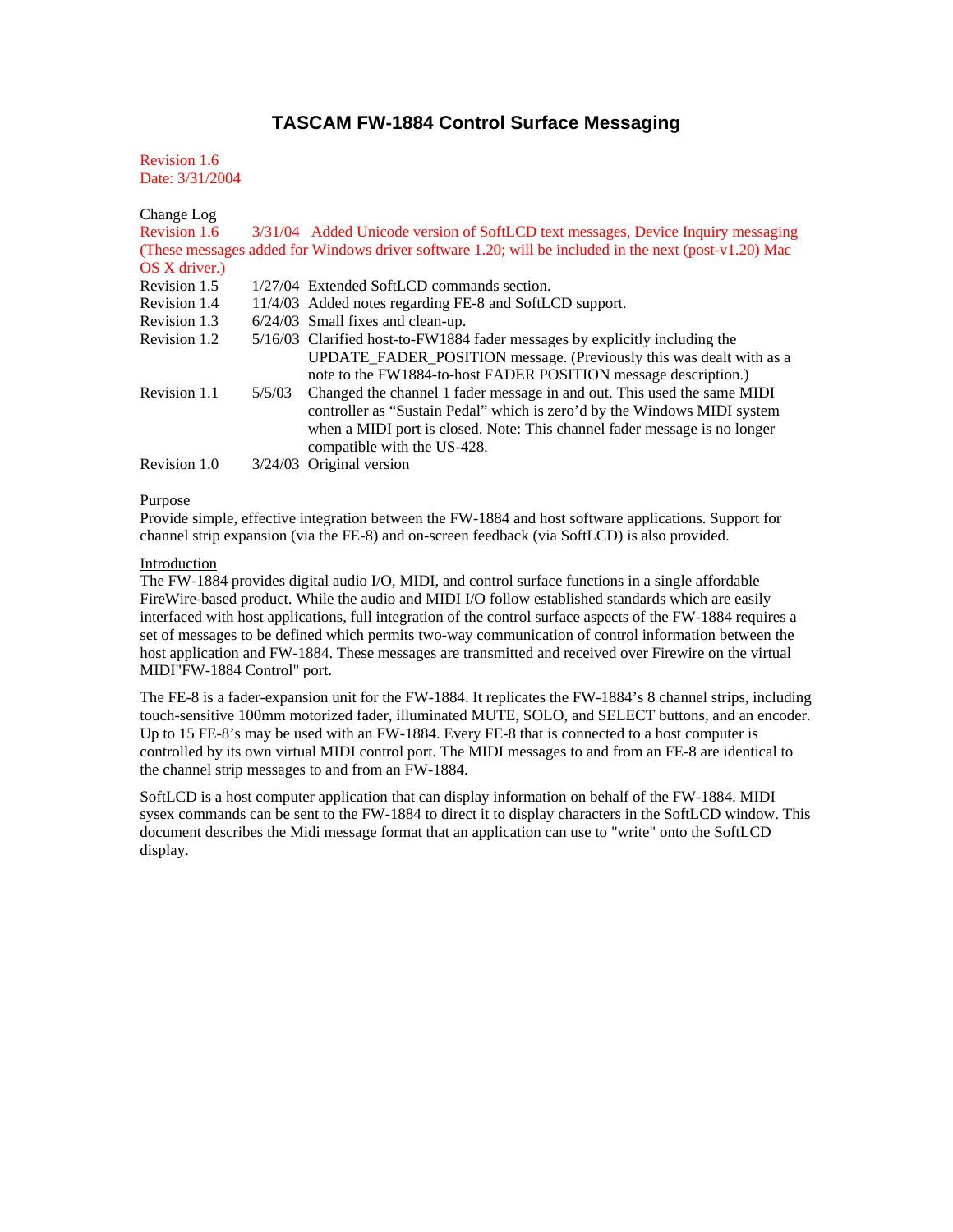# **TASCAM FW-1884 Control Surface Messaging**

Revision 1.6 Date: 3/31/2004

| Change Log          |        |                                                                                                       |
|---------------------|--------|-------------------------------------------------------------------------------------------------------|
| <b>Revision 1.6</b> |        | 3/31/04 Added Unicode version of SoftLCD text messages, Device Inquiry messaging                      |
|                     |        | (These messages added for Windows driver software 1.20; will be included in the next (post-v1.20) Mac |
| OS X driver.)       |        |                                                                                                       |
| Revision 1.5        |        | 1/27/04 Extended SoftLCD commands section.                                                            |
| Revision 1.4        |        | 11/4/03 Added notes regarding FE-8 and SoftLCD support.                                               |
| Revision 1.3        |        | $6/24/03$ Small fixes and clean-up.                                                                   |
| Revision 1.2        |        | 5/16/03 Clarified host-to-FW1884 fader messages by explicitly including the                           |
|                     |        | UPDATE_FADER_POSITION message. (Previously this was dealt with as a                                   |
|                     |        | note to the FW1884-to-host FADER POSITION message description.)                                       |
| Revision 1.1        | 5/5/03 | Changed the channel 1 fader message in and out. This used the same MIDI                               |
|                     |        | controller as "Sustain Pedal" which is zero'd by the Windows MIDI system                              |
|                     |        | when a MIDI port is closed. Note: This channel fader message is no longer                             |
|                     |        | compatible with the US-428.                                                                           |
| Revision 1.0        |        | $3/24/03$ Original version                                                                            |

### Purpose

Provide simple, effective integration between the FW-1884 and host software applications. Support for channel strip expansion (via the FE-8) and on-screen feedback (via SoftLCD) is also provided.

# Introduction

The FW-1884 provides digital audio I/O, MIDI, and control surface functions in a single affordable FireWire-based product. While the audio and MIDI I/O follow established standards which are easily interfaced with host applications, full integration of the control surface aspects of the FW-1884 requires a set of messages to be defined which permits two-way communication of control information between the host application and FW-1884. These messages are transmitted and received over Firewire on the virtual MIDI"FW-1884 Control" port.

The FE-8 is a fader-expansion unit for the FW-1884. It replicates the FW-1884's 8 channel strips, including touch-sensitive 100mm motorized fader, illuminated MUTE, SOLO, and SELECT buttons, and an encoder. Up to 15 FE-8's may be used with an FW-1884. Every FE-8 that is connected to a host computer is controlled by its own virtual MIDI control port. The MIDI messages to and from an FE-8 are identical to the channel strip messages to and from an FW-1884.

SoftLCD is a host computer application that can display information on behalf of the FW-1884. MIDI sysex commands can be sent to the FW-1884 to direct it to display characters in the SoftLCD window. This document describes the Midi message format that an application can use to "write" onto the SoftLCD display.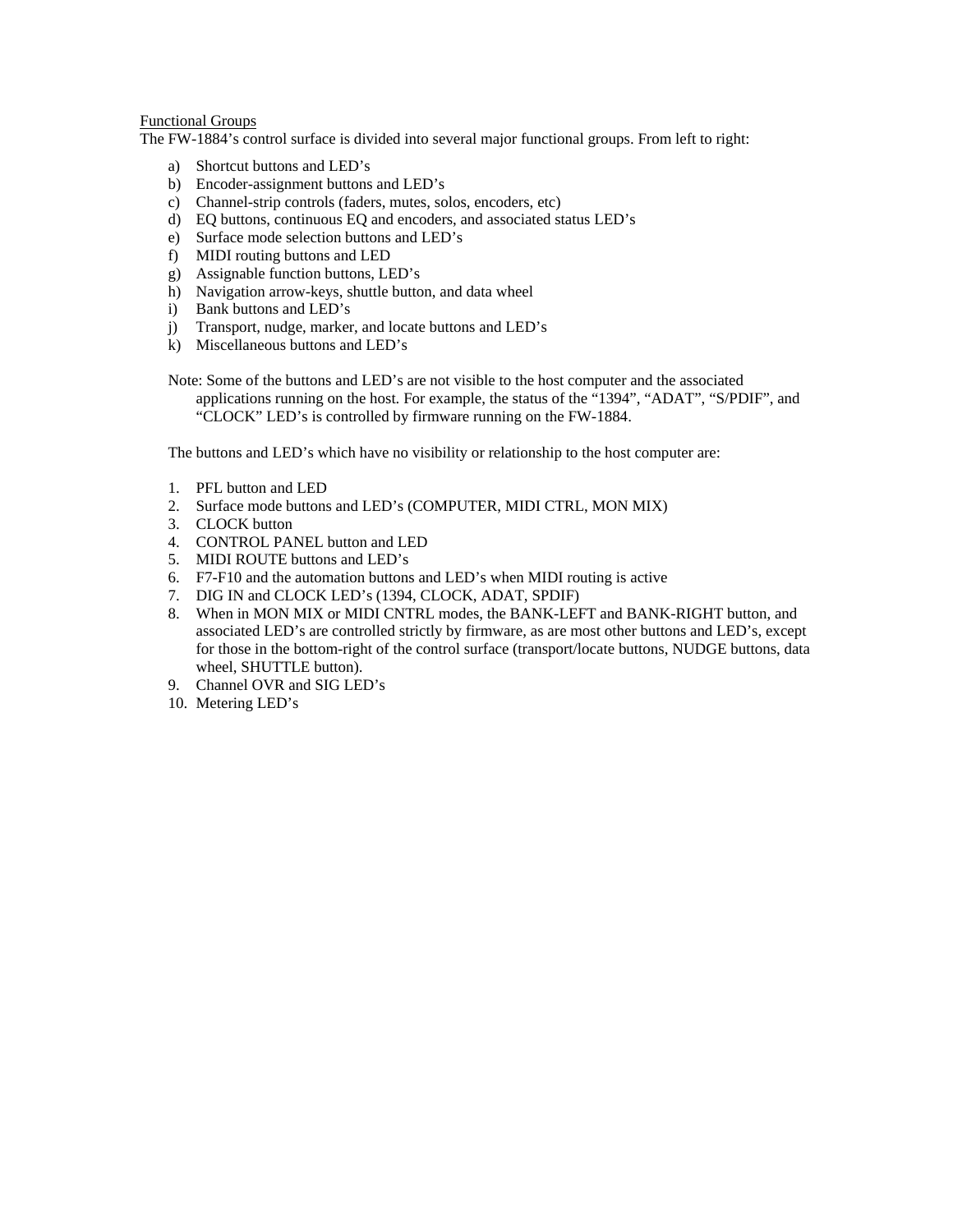### Functional Groups

The FW-1884's control surface is divided into several major functional groups. From left to right:

- a) Shortcut buttons and LED's
- b) Encoder-assignment buttons and LED's
- c) Channel-strip controls (faders, mutes, solos, encoders, etc)
- d) EQ buttons, continuous EQ and encoders, and associated status LED's
- e) Surface mode selection buttons and LED's
- f) MIDI routing buttons and LED
- g) Assignable function buttons, LED's
- h) Navigation arrow-keys, shuttle button, and data wheel
- i) Bank buttons and LED's
- j) Transport, nudge, marker, and locate buttons and LED's
- k) Miscellaneous buttons and LED's
- Note: Some of the buttons and LED's are not visible to the host computer and the associated applications running on the host. For example, the status of the "1394", "ADAT", "S/PDIF", and "CLOCK" LED's is controlled by firmware running on the FW-1884.

The buttons and LED's which have no visibility or relationship to the host computer are:

- 1. PFL button and LED
- 2. Surface mode buttons and LED's (COMPUTER, MIDI CTRL, MON MIX)
- 3. CLOCK button
- 4. CONTROL PANEL button and LED
- 5. MIDI ROUTE buttons and LED's
- 6. F7-F10 and the automation buttons and LED's when MIDI routing is active
- 7. DIG IN and CLOCK LED's (1394, CLOCK, ADAT, SPDIF)
- 8. When in MON MIX or MIDI CNTRL modes, the BANK-LEFT and BANK-RIGHT button, and associated LED's are controlled strictly by firmware, as are most other buttons and LED's, except for those in the bottom-right of the control surface (transport/locate buttons, NUDGE buttons, data wheel, SHUTTLE button).
- 9. Channel OVR and SIG LED's
- 10. Metering LED's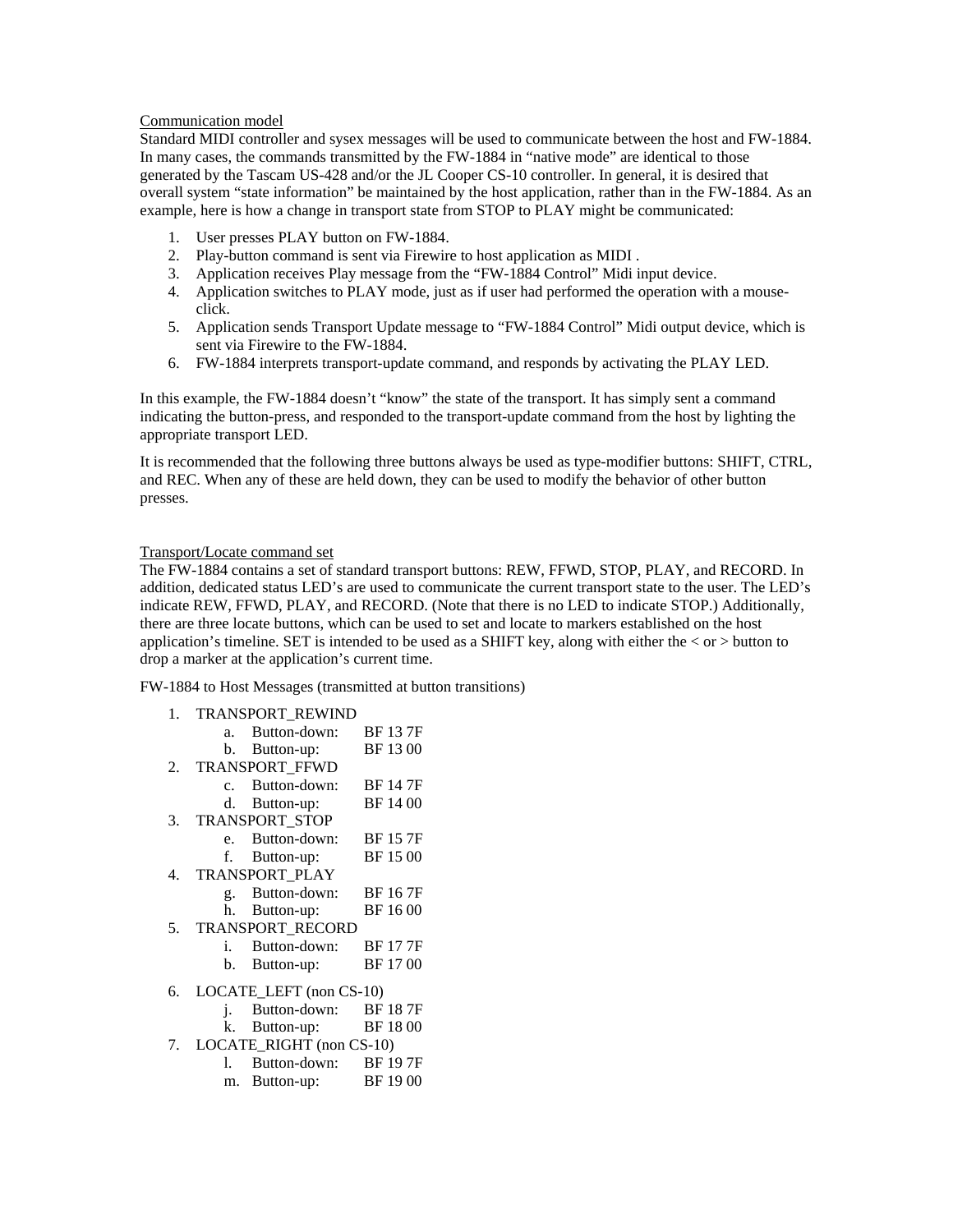# Communication model

Standard MIDI controller and sysex messages will be used to communicate between the host and FW-1884. In many cases, the commands transmitted by the FW-1884 in "native mode" are identical to those generated by the Tascam US-428 and/or the JL Cooper CS-10 controller. In general, it is desired that overall system "state information" be maintained by the host application, rather than in the FW-1884. As an example, here is how a change in transport state from STOP to PLAY might be communicated:

- 1. User presses PLAY button on FW-1884.
- 2. Play-button command is sent via Firewire to host application as MIDI .
- 3. Application receives Play message from the "FW-1884 Control" Midi input device.
- 4. Application switches to PLAY mode, just as if user had performed the operation with a mouseclick.
- 5. Application sends Transport Update message to "FW-1884 Control" Midi output device, which is sent via Firewire to the FW-1884.
- 6. FW-1884 interprets transport-update command, and responds by activating the PLAY LED.

In this example, the FW-1884 doesn't "know" the state of the transport. It has simply sent a command indicating the button-press, and responded to the transport-update command from the host by lighting the appropriate transport LED.

It is recommended that the following three buttons always be used as type-modifier buttons: SHIFT, CTRL, and REC. When any of these are held down, they can be used to modify the behavior of other button presses.

### Transport/Locate command set

The FW-1884 contains a set of standard transport buttons: REW, FFWD, STOP, PLAY, and RECORD. In addition, dedicated status LED's are used to communicate the current transport state to the user. The LED's indicate REW, FFWD, PLAY, and RECORD. (Note that there is no LED to indicate STOP.) Additionally, there are three locate buttons, which can be used to set and locate to markers established on the host application's timeline. SET is intended to be used as a SHIFT key, along with either the  $<$  or  $>$  button to drop a marker at the application's current time.

FW-1884 to Host Messages (transmitted at button transitions)

|    | 1. TRANSPORT REWIND |                          |                 |  |
|----|---------------------|--------------------------|-----------------|--|
|    | $a_{-}$             | Button-down:             | <b>BF</b> 13 7F |  |
|    |                     | b. Button-up:            | BF 1300         |  |
| 2. |                     | TRANSPORT_FFWD           |                 |  |
|    | $\mathcal{C}$       | Button-down:             | <b>BF 147F</b>  |  |
|    |                     | d. Button-up:            | BF 1400         |  |
| 3. |                     | TRANSPORT_STOP           |                 |  |
|    | $e_{\cdot}$         | Button-down:             | <b>BF 157F</b>  |  |
|    | f.                  | Button-up:               | BF 1500         |  |
| 4. |                     | TRANSPORT_PLAY           |                 |  |
|    | $g_{\rm{}}$         | Button-down:             | <b>BF</b> 167F  |  |
|    |                     | h. Button-up:            | BF 1600         |  |
| 5. |                     | <b>TRANSPORT RECORD</b>  |                 |  |
|    | i.                  | Button-down:             | <b>BF177F</b>   |  |
|    | b.                  | Button-up:               | BF 1700         |  |
| 6. |                     | LOCATE_LEFT (non CS-10)  |                 |  |
|    | j.                  | Button-down:             | BF 18 7F        |  |
|    | k.                  | Button-up:               | BF 1800         |  |
| 7. |                     | LOCATE_RIGHT (non CS-10) |                 |  |
|    |                     | 1. Button-down:          | BF 197F         |  |
|    |                     | m. Button-up:            | BF 1900         |  |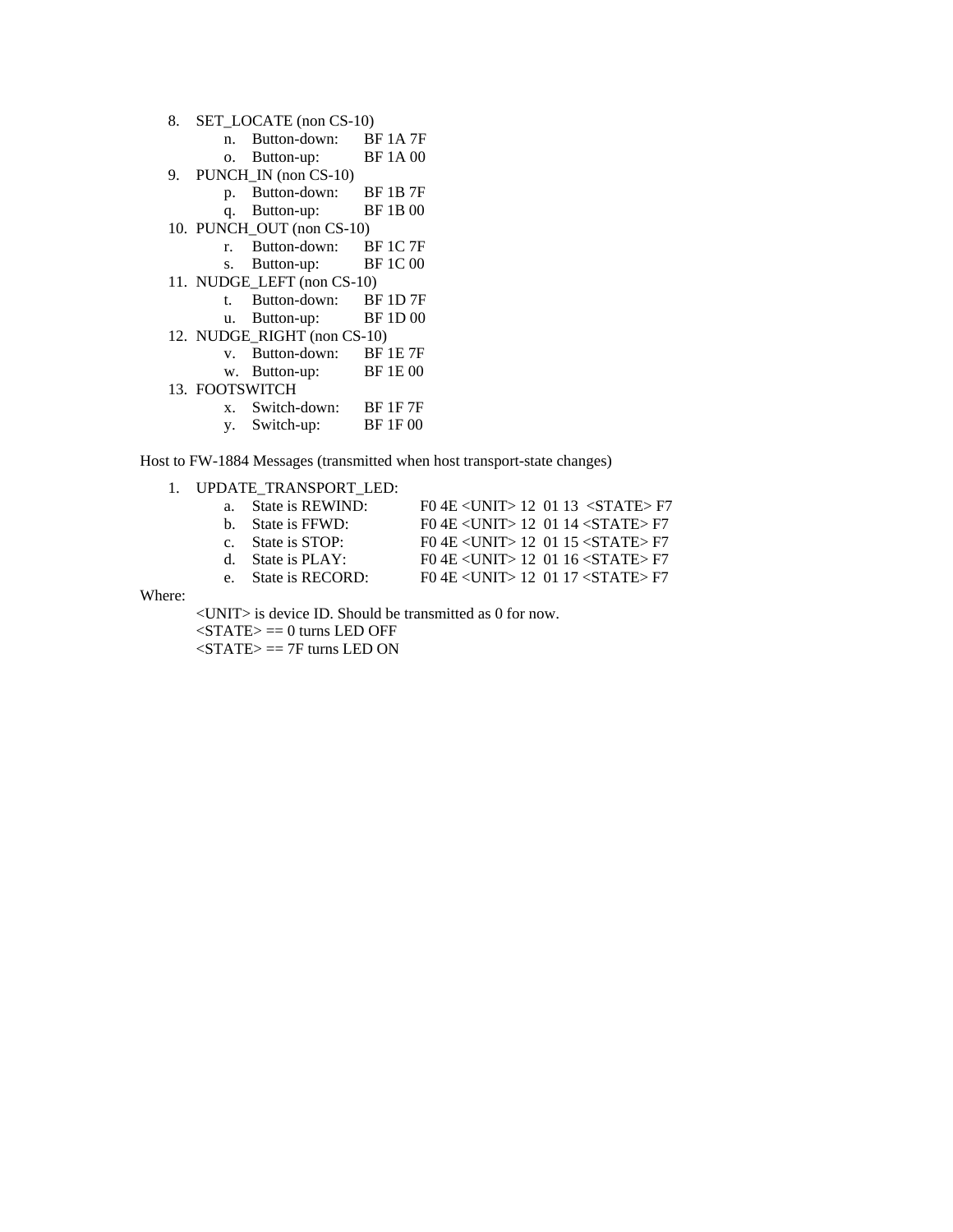| 8. | SET_LOCATE (non CS-10) |                             |                 |  |
|----|------------------------|-----------------------------|-----------------|--|
|    |                        | n. Button-down:             | <b>BF1A7F</b>   |  |
|    |                        | o. Button-up:               | <b>BF1A00</b>   |  |
| 9. |                        | PUNCH_IN (non CS-10)        |                 |  |
|    | p.                     | Button-down:                | <b>BF 1B 7F</b> |  |
|    |                        | q. Button-up:               | <b>BF1B00</b>   |  |
|    |                        | 10. PUNCH_OUT (non CS-10)   |                 |  |
|    | $r_{\rm{c}}$           | Button-down:                | <b>BF 1C 7F</b> |  |
|    | S.                     | Button-up:                  | <b>BF1C00</b>   |  |
|    |                        | 11. NUDGE_LEFT (non CS-10)  |                 |  |
|    | t.                     | Button-down:                | <b>BF 1D 7F</b> |  |
|    |                        | u. Button-up:               | <b>BF1D00</b>   |  |
|    |                        | 12. NUDGE RIGHT (non CS-10) |                 |  |
|    |                        | v. Button-down:             | <b>BF 1E 7F</b> |  |
|    |                        | w. Button-up:               | <b>BF1E00</b>   |  |
|    | 13. FOOTSWITCH         |                             |                 |  |
|    |                        | x. Switch-down:             | <b>BF 1F 7F</b> |  |
|    | y.                     | Switch-up:                  | <b>BF1F00</b>   |  |
|    |                        |                             |                 |  |

Host to FW-1884 Messages (transmitted when host transport-state changes)

# 1. UPDATE\_TRANSPORT\_LED:

| a. State is REWIND: | F0 4E < UNIT > 12 01 13 < STATE > F7               |
|---------------------|----------------------------------------------------|
| b. State is FFWD:   | $F0$ 4E $\lt$ UNIT $>$ 12 01 14 $\lt$ STATE $>$ F7 |
| c. State is STOP:   | $F0$ 4E $\lt$ UNIT > 12 01 15 $\lt$ STATE > F7     |
| d. State is PLAY:   | $F0$ 4E $\lt$ UNIT $>$ 12 01 16 $\lt$ STATE $>$ F7 |
| e. State is RECORD: | $F0$ 4E $\lt$ UNIT > 12 01 17 $\lt$ STATE > F7     |

Where:

<UNIT> is device ID. Should be transmitted as 0 for now.

 $\langle$ STATE $\rangle$  == 0 turns LED OFF

 $\langle$ STATE $\rangle$  == 7F turns LED ON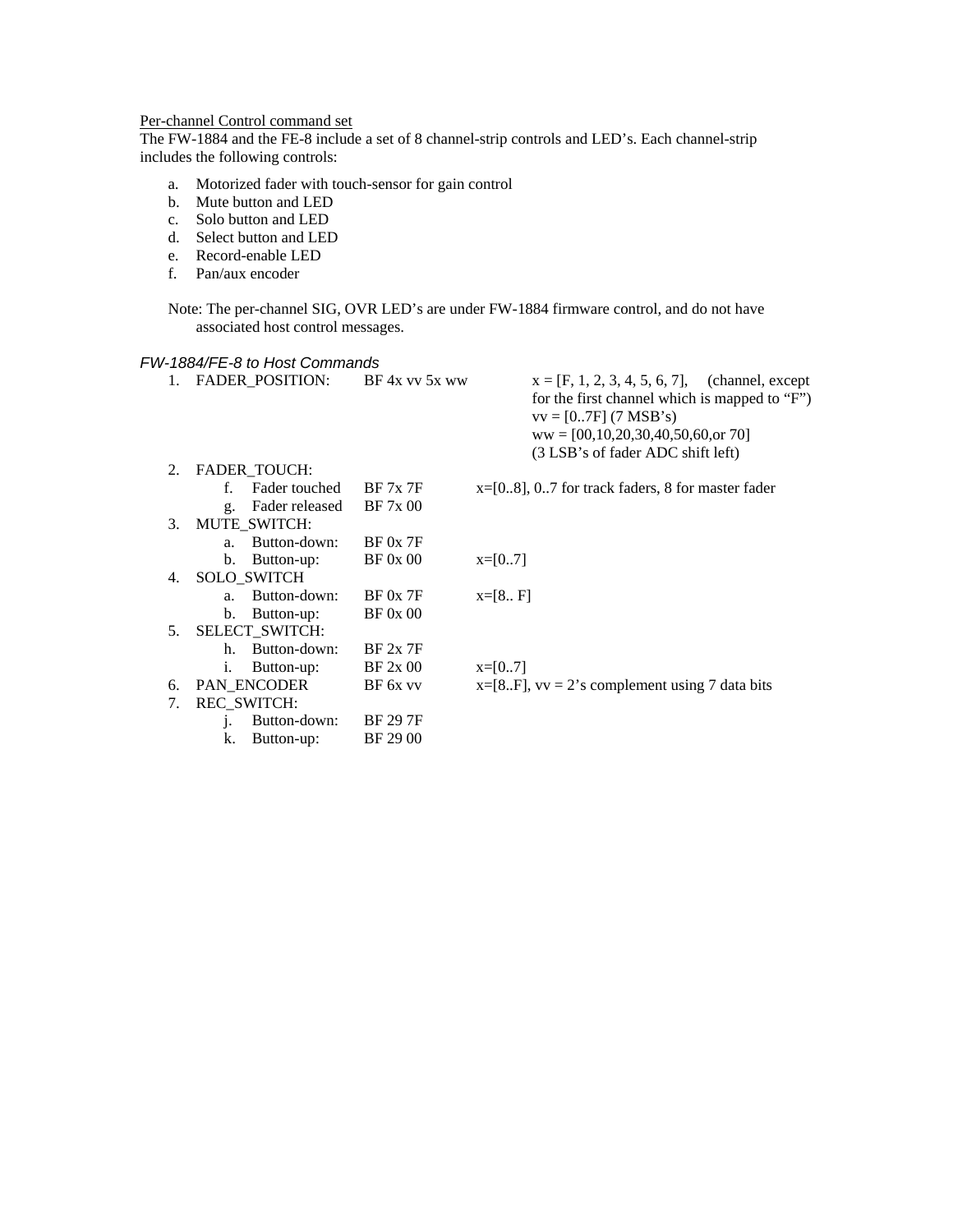# Per-channel Control command set

The FW-1884 and the FE-8 include a set of 8 channel-strip controls and LED's. Each channel-strip includes the following controls:

- a. Motorized fader with touch-sensor for gain control
- b. Mute button and LED
- c. Solo button and LED
- d. Select button and LED
- e. Record-enable LED
- f. Pan/aux encoder

Note: The per-channel SIG, OVR LED's are under FW-1884 firmware control, and do not have associated host control messages.

### *FW-1884/FE-8 to Host Commands*

|         | FADER_POSITION:                  | $BF$ 4x vv 5x ww | $x = [F, 1, 2, 3, 4, 5, 6, 7]$ , (channel, except<br>for the first channel which is mapped to "F")<br>$vv = [07F]$ (7 MSB's)<br>$ww = [00, 10, 20, 30, 40, 50, 60, or 70]$<br>(3 LSB's of fader ADC shift left) |
|---------|----------------------------------|------------------|-----------------------------------------------------------------------------------------------------------------------------------------------------------------------------------------------------------------|
| $2_{1}$ | FADER_TOUCH:                     |                  |                                                                                                                                                                                                                 |
|         | Fader touched<br>f               | BF 7x 7F         | $x=[08]$ , 07 for track faders, 8 for master fader                                                                                                                                                              |
|         | Fader released<br>g <sub>z</sub> | BF 7x 00         |                                                                                                                                                                                                                 |
| $3_{-}$ | MUTE SWITCH:                     |                  |                                                                                                                                                                                                                 |
|         | Button-down:<br>a <sub>z</sub>   | BF 0x 7F         |                                                                                                                                                                                                                 |
|         | b.<br>Button-up:                 | BF 0x 00         | $x=[07]$                                                                                                                                                                                                        |
| 4.      | <b>SOLO SWITCH</b>               |                  |                                                                                                                                                                                                                 |
|         | Button-down:<br>$a_{-}$          | $BF$ 0x 7 $F$    | $x=[8 F]$                                                                                                                                                                                                       |
|         | Button-up:<br>$\mathbf{b}$ .     | BF 0x 00         |                                                                                                                                                                                                                 |
| 5.      | SELECT_SWITCH:                   |                  |                                                                                                                                                                                                                 |
|         | Button-down:<br>$h_{\cdot}$      | BF 2x 7F         |                                                                                                                                                                                                                 |
|         | Button-up:<br>i.                 | BF 2x 00         | $x=[07]$                                                                                                                                                                                                        |
| 6.      | PAN_ENCODER                      | BF 6x vv         | $x=[8F]$ , $vv = 2$ 's complement using 7 data bits                                                                                                                                                             |
| 7.      | <b>REC SWITCH:</b>               |                  |                                                                                                                                                                                                                 |
|         | Button-down:<br>1.               | <b>BF 29 7F</b>  |                                                                                                                                                                                                                 |
|         | k.<br>Button-up:                 | BF 29 00         |                                                                                                                                                                                                                 |
|         |                                  |                  |                                                                                                                                                                                                                 |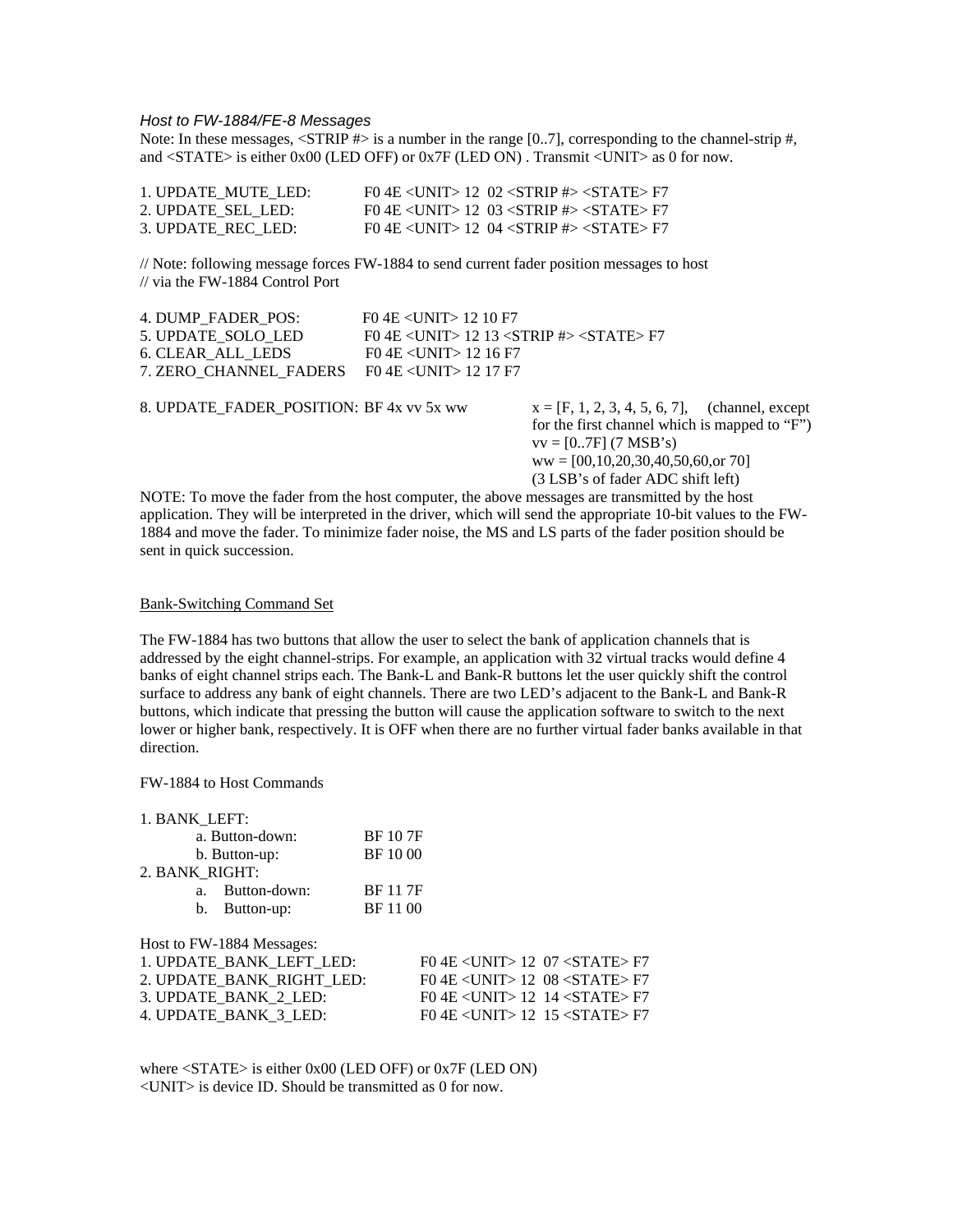### *Host to FW-1884/FE-8 Messages*

Note: In these messages, <STRIP #> is a number in the range [0..7], corresponding to the channel-strip #, and <STATE> is either 0x00 (LED OFF) or 0x7F (LED ON) . Transmit <UNIT> as 0 for now.

| 1. UPDATE MUTE LED: | FO 4E <unit> 12 02 <strip #=""> <state> F7</state></strip></unit> |
|---------------------|-------------------------------------------------------------------|
| 2. UPDATE SEL LED:  | FO 4E <unit> 12 03 <strip #=""> <state> F7</state></strip></unit> |
| 3. UPDATE REC LED:  | FO 4E <unit> 12 04 <strip #=""> <state> F7</state></strip></unit> |

// Note: following message forces FW-1884 to send current fader position messages to host // via the FW-1884 Control Port

| 4. DUMP FADER POS:                                       | $F0$ 4E $\lt$ UNIT $>$ 12 10 F7                                             |
|----------------------------------------------------------|-----------------------------------------------------------------------------|
| 5. UPDATE SOLO LED                                       | FO 4E <unit> 12 13 <strip <math="">\#&gt; <state> F7</state></strip></unit> |
| 6. CLEAR ALL LEDS                                        | $F0$ 4E $<$ UNIT $>$ 12 16 F7                                               |
| 7. ZERO CHANNEL FADERS F0 4E $\langle$ UNIT $>$ 12 17 F7 |                                                                             |

8. UPDATE\_FADER\_POSITION: BF 4x vv 5x ww  $x = [F, 1, 2, 3, 4, 5, 6, 7]$ , (channel, except

for the first channel which is mapped to "F")  $vv = [0..7F]$  (7 MSB's) ww = [00,10,20,30,40,50,60,or 70] (3 LSB's of fader ADC shift left)

NOTE: To move the fader from the host computer, the above messages are transmitted by the host application. They will be interpreted in the driver, which will send the appropriate 10-bit values to the FW-1884 and move the fader. To minimize fader noise, the MS and LS parts of the fader position should be sent in quick succession.

#### Bank-Switching Command Set

The FW-1884 has two buttons that allow the user to select the bank of application channels that is addressed by the eight channel-strips. For example, an application with 32 virtual tracks would define 4 banks of eight channel strips each. The Bank-L and Bank-R buttons let the user quickly shift the control surface to address any bank of eight channels. There are two LED's adjacent to the Bank-L and Bank-R buttons, which indicate that pressing the button will cause the application software to switch to the next lower or higher bank, respectively. It is OFF when there are no further virtual fader banks available in that direction.

#### FW-1884 to Host Commands

| 1. BANK_LEFT:             |                                                         |
|---------------------------|---------------------------------------------------------|
| a. Button-down:           | <b>BF</b> 10 7F                                         |
| b. Button-up:             | BF 10 00                                                |
| 2. BANK_RIGHT:            |                                                         |
| Button-down:<br>a.        | <b>BF</b> 117F                                          |
| Button-up:<br>b.          | BF 11 00                                                |
| Host to FW-1884 Messages: |                                                         |
| 1. UPDATE_BANK_LEFT_LED:  | $F0$ 4E $\langle$ UNIT $>$ 12 07 $\langle$ STATE $>$ F7 |
| 2. UPDATE_BANK_RIGHT_LED: | $F0$ 4E $\langle$ UNIT $>$ 12 08 $\langle$ STATE $>$ F7 |
| 3. UPDATE BANK 2 LED:     | $F0$ 4E $\langle$ UNIT $>$ 12 14 $\langle$ STATE $>$ F7 |
| 4. UPDATE_BANK_3 LED:     | F0 4E <unit> 12 15 <state> F7</state></unit>            |

where <STATE> is either 0x00 (LED OFF) or 0x7F (LED ON) <UNIT> is device ID. Should be transmitted as 0 for now.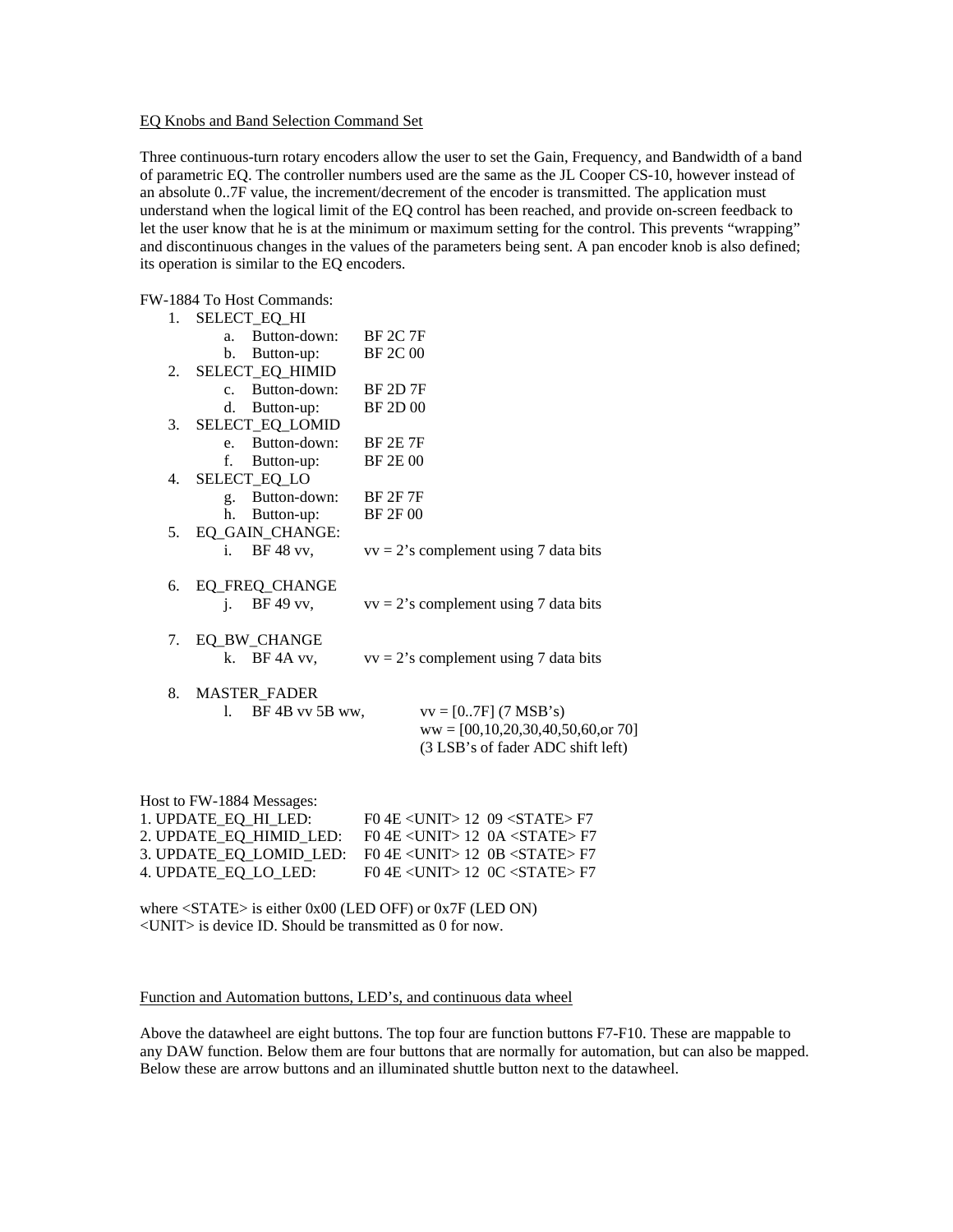### EQ Knobs and Band Selection Command Set

Three continuous-turn rotary encoders allow the user to set the Gain, Frequency, and Bandwidth of a band of parametric EQ. The controller numbers used are the same as the JL Cooper CS-10, however instead of an absolute 0..7F value, the increment/decrement of the encoder is transmitted. The application must understand when the logical limit of the EQ control has been reached, and provide on-screen feedback to let the user know that he is at the minimum or maximum setting for the control. This prevents "wrapping" and discontinuous changes in the values of the parameters being sent. A pan encoder knob is also defined; its operation is similar to the EQ encoders.

FW-1884 To Host Commands:

| 1. |                | SELECT_EQ_HI        |                                             |
|----|----------------|---------------------|---------------------------------------------|
|    | $a_{-}$        | Button-down:        | <b>BF 2C 7F</b>                             |
|    | b.             | Button-up:          | <b>BF 2C 00</b>                             |
| 2. |                | SELECT_EQ_HIMID     |                                             |
|    | $\mathbf{c}$ . | Button-down:        | <b>BF 2D 7F</b>                             |
|    | d.             | Button-up:          | <b>BF 2D 00</b>                             |
| 3. |                | SELECT_EQ_LOMID     |                                             |
|    | $e_{-}$        | Button-down:        | <b>BF 2E 7F</b>                             |
|    | f.             | Button-up:          | <b>BF 2E 00</b>                             |
| 4. |                | SELECT_EQ_LO        |                                             |
|    | g.             | Button-down:        | <b>BF 2F 7F</b>                             |
|    | h.             | Button-up:          | <b>BF 2F 00</b>                             |
| 5. |                | EQ_GAIN_CHANGE:     |                                             |
|    | i.             | BF 48 vv,           | $vv = 2$ 's complement using 7 data bits    |
| 6. |                | EQ_FREQ_CHANGE      |                                             |
|    | j.             | BF 49 vv,           | $vv = 2$ 's complement using 7 data bits    |
|    |                |                     |                                             |
| 7. |                | EQ_BW_CHANGE        |                                             |
|    | k.             | BF 4A vv.           | $vv = 2$ 's complement using 7 data bits    |
| 8. |                | <b>MASTER_FADER</b> |                                             |
|    | 1.             | $BF$ 4B vv 5B ww.   | $vv = [07F]$ (7 MSB's)                      |
|    |                |                     | $ww = [00, 10, 20, 30, 40, 50, 60, 60, 70]$ |
|    |                |                     | (3 LSB's of fader ADC shift left)           |

| Host to FW-1884 Messages: |                                                             |
|---------------------------|-------------------------------------------------------------|
| 1. UPDATE EO HI LED:      | $F0$ 4E $\langle$ UNIT $>$ 12 09 $\langle$ STATE $>$ F7     |
| 2. UPDATE EO HIMID LED:   | $F0$ 4E <unit> 12 0A <state> <math>F7</math></state></unit> |
| 3. UPDATE EO LOMID LED:   | $F0$ 4E <unit> 12 OB <state> <math>F7</math></state></unit> |
| 4. UPDATE_EQ_LO_LED:      | FO 4E $\langle$ UNIT $>$ 12 OC $\langle$ STATE $>$ F7       |
|                           |                                                             |

where <STATE> is either 0x00 (LED OFF) or 0x7F (LED ON) <UNIT> is device ID. Should be transmitted as 0 for now.

#### Function and Automation buttons, LED's, and continuous data wheel

Above the datawheel are eight buttons. The top four are function buttons F7-F10. These are mappable to any DAW function. Below them are four buttons that are normally for automation, but can also be mapped. Below these are arrow buttons and an illuminated shuttle button next to the datawheel.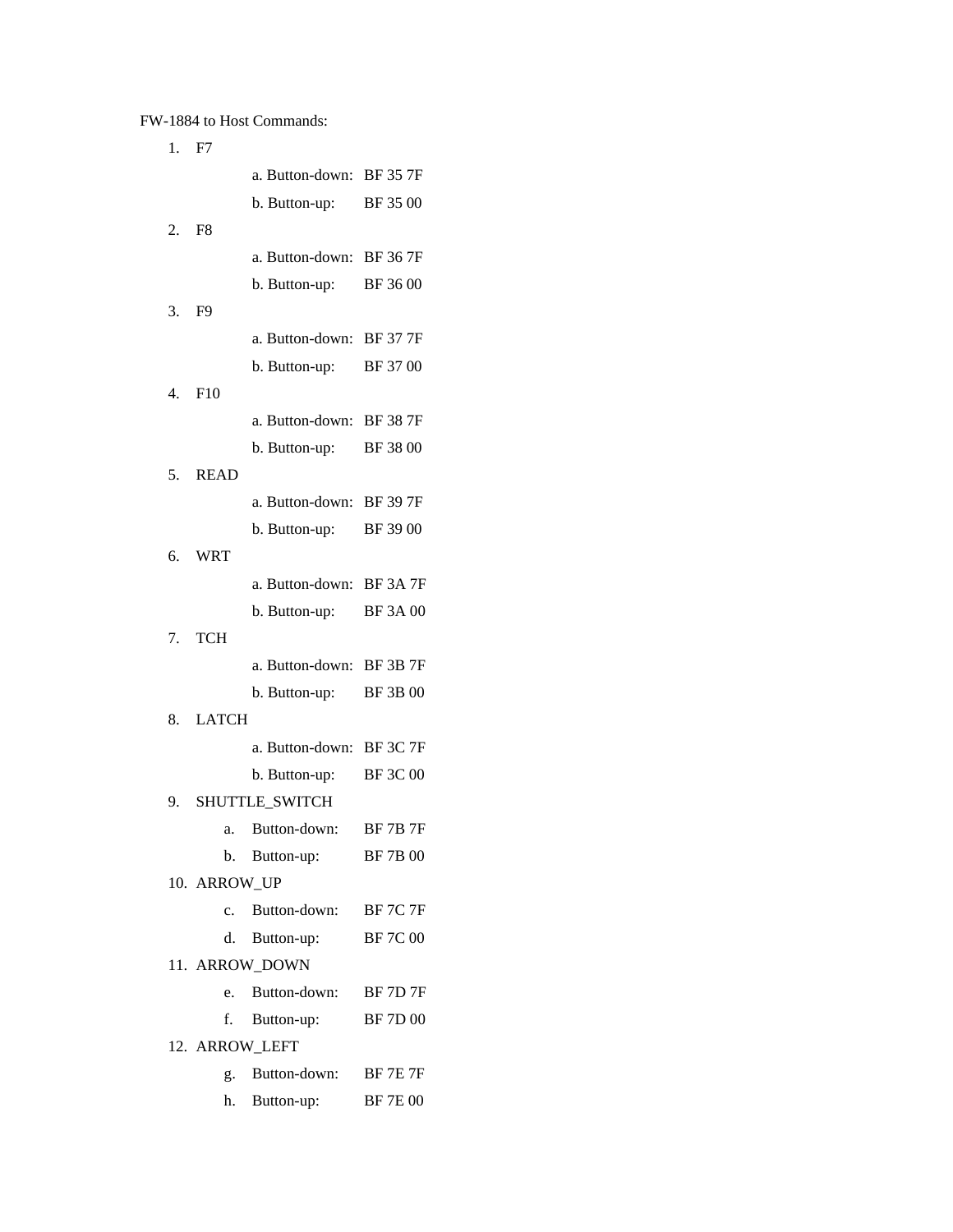# FW-1884 to Host Commands:

| 1. | F7             |                               |                 |
|----|----------------|-------------------------------|-----------------|
|    |                | a. Button-down:               | <b>BF 35 7F</b> |
|    |                | b. Button-up:                 | BF 35 00        |
| 2. | F <sub>8</sub> |                               |                 |
|    |                | a. Button-down:               | <b>BF 36 7F</b> |
|    |                | b. Button-up:                 | BF 3600         |
| 3. | F <sub>9</sub> |                               |                 |
|    |                | a. Button-down:               | <b>BF 37 7F</b> |
|    |                | b. Button-up:                 | BF 3700         |
| 4. | F10            |                               |                 |
|    |                | a. Button-down:               | <b>BF 38 7F</b> |
|    |                | b. Button-up:                 | BF 38 00        |
| 5. | <b>READ</b>    |                               |                 |
|    |                | a. Button-down:               | <b>BF 39 7F</b> |
|    |                | b. Button-up:                 | BF 3900         |
| 6. | <b>WRT</b>     | a. Button-down:               | BF 3A 7F        |
|    |                | b. Button-up:                 | <b>BF 3A 00</b> |
| 7. | <b>TCH</b>     |                               |                 |
|    |                | a. Button-down:               | <b>BF 3B 7F</b> |
|    |                | b. Button-up:                 | <b>BF 3B 00</b> |
| 8. | <b>LATCH</b>   |                               |                 |
|    |                | a. Button-down: BF 3C 7F      |                 |
|    |                | b. Button-up:                 | <b>BF 3C 00</b> |
| 9. |                | SHUTTLE SWITCH                |                 |
|    |                | a. Button-down:               | <b>BF 7B 7F</b> |
|    | b.             | Button-up:                    | <b>BF7B00</b>   |
|    | 10. ARROW UP   |                               |                 |
|    | $c_{\rm}$      | Button-down: BF 7C 7F         |                 |
|    |                | d. Button-up:                 | <b>BF7C00</b>   |
|    |                | 11. ARROW_DOWN                |                 |
|    | e.             | Button-down:                  | <b>BF 7D 7F</b> |
|    | f.             | Button-up:                    | <b>BF7D00</b>   |
|    |                | 12. ARROW_LEFT                | <b>BF 7E 7F</b> |
|    | $g_{\rm A}$    | Button-down:<br>h. Button-up: | <b>BF7E00</b>   |
|    |                |                               |                 |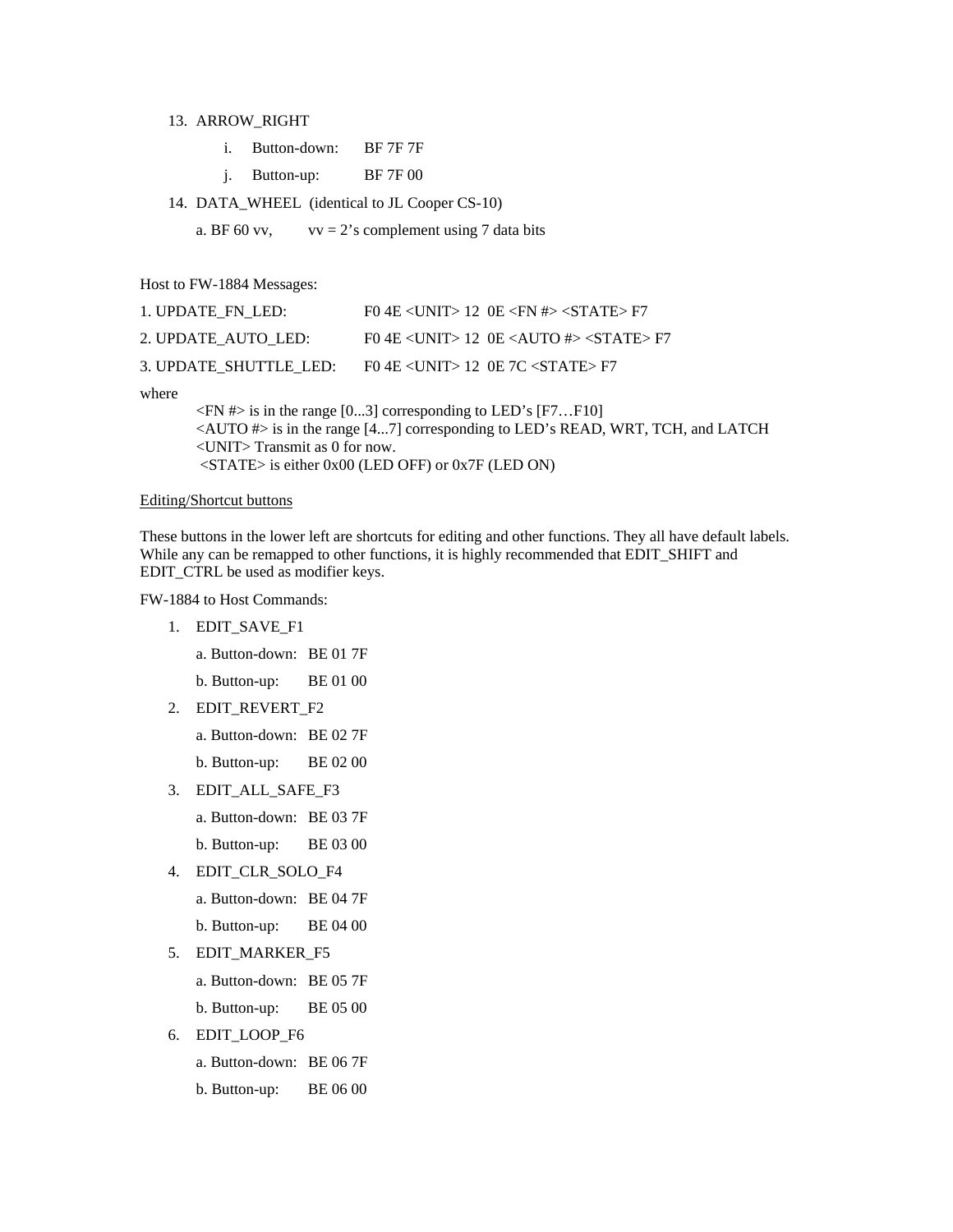#### 13. ARROW\_RIGHT

j. Button-up: BF 7F 00

14. DATA\_WHEEL (identical to JL Cooper CS-10)

a. BF 60 vv,  $vv = 2$ 's complement using 7 data bits

Host to FW-1884 Messages:

| 1. UPDATE FN LED:      | $F0$ 4E $\langle$ UNIT $> 12$ 0E $\langle$ FN # $>$ $\langle$ STATE $>$ F7 |
|------------------------|----------------------------------------------------------------------------|
| 2. UPDATE AUTO LED:    | FO 4E <unit> 12 OE <auto <math="">\#&gt; <state> F7</state></auto></unit>  |
| 3. UPDATE SHUTTLE LED: | $F0$ 4E <unit> 12 OE 7C <state> F7</state></unit>                          |

where

 $\langle$ FN # $>$  is in the range [0...3] corresponding to LED's [F7...F10] <AUTO #> is in the range [4...7] corresponding to LED's READ, WRT, TCH, and LATCH <UNIT> Transmit as 0 for now. <STATE> is either 0x00 (LED OFF) or 0x7F (LED ON)

#### Editing/Shortcut buttons

These buttons in the lower left are shortcuts for editing and other functions. They all have default labels. While any can be remapped to other functions, it is highly recommended that EDIT\_SHIFT and EDIT\_CTRL be used as modifier keys.

FW-1884 to Host Commands:

1. EDIT\_SAVE\_F1

a. Button-down: BE 01 7F

b. Button-up: BE 01 00

2. EDIT\_REVERT\_F2

a. Button-down: BE 02 7F

b. Button-up: BE 02 00

- 3. EDIT\_ALL\_SAFE\_F3
	- a. Button-down: BE 03 7F
	- b. Button-up: BE 03 00
- 4. EDIT\_CLR\_SOLO\_F4
	- a. Button-down: BE 04 7F
	- b. Button-up: BE 04 00
- 5. EDIT\_MARKER\_F5

a. Button-down: BE 05 7F

- b. Button-up: BE 05 00
- 6. EDIT\_LOOP\_F6
	- a. Button-down: BE 06 7F
	- b. Button-up: BE 06 00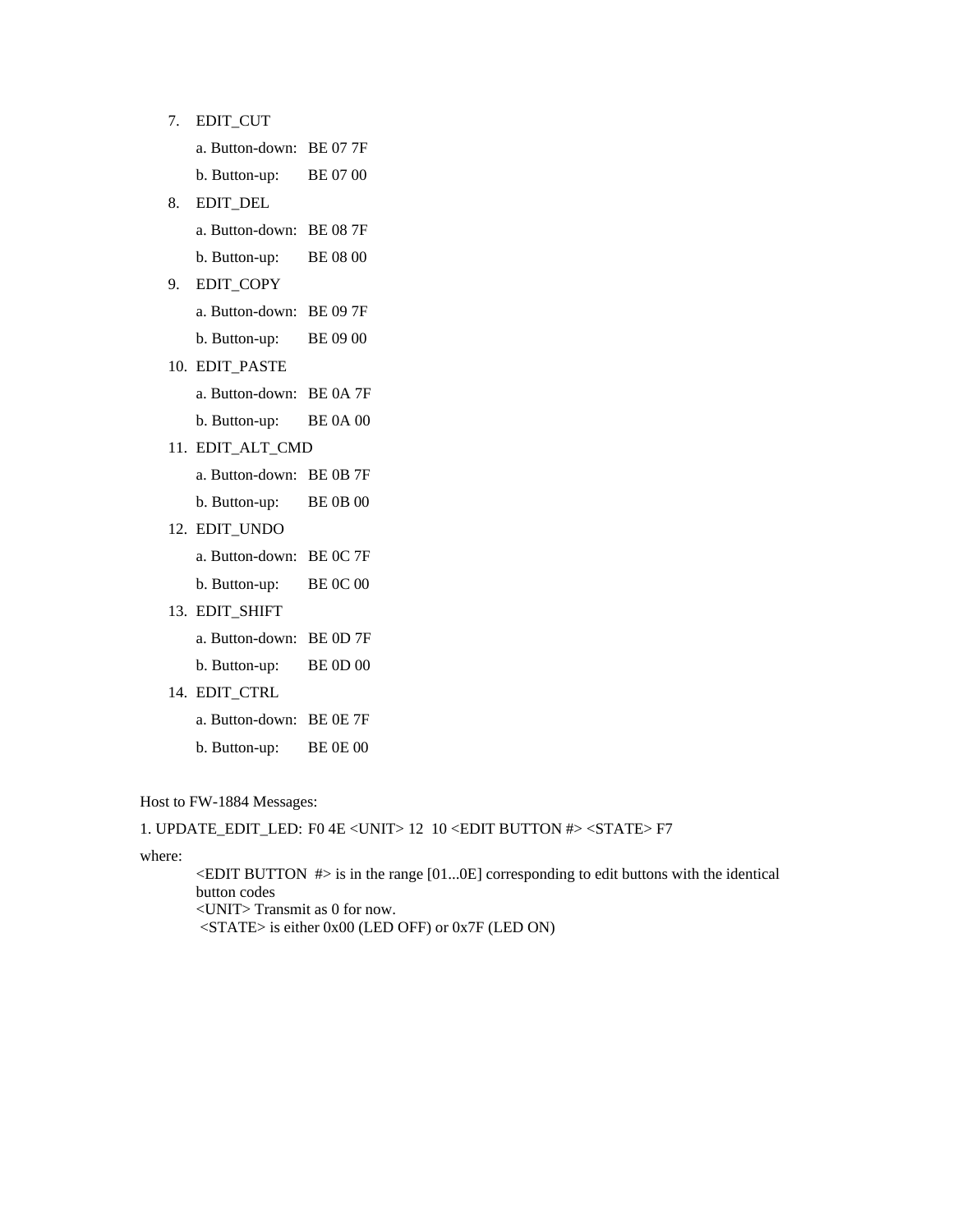7. EDIT\_CUT

- a. Button-down: BE 07 7F
- b. Button-up: BE 07 00
- 8. EDIT\_DEL
	- a. Button-down: BE 08 7F
	- b. Button-up: BE 08 00
- 9. EDIT\_COPY
	- a. Button-down: BE 09 7F
	- b. Button-up: BE 09 00
- 10. EDIT\_PASTE
	- a. Button-down: BE 0A 7F
	- b. Button-up: BE 0A 00
- 11. EDIT\_ALT\_CMD
	- a. Button-down: BE 0B 7F
	- b. Button-up: BE 0B 00
- 12. EDIT\_UNDO
	- a. Button-down: BE 0C 7F
	- b. Button-up: BE 0C 00
- 13. EDIT\_SHIFT
	- a. Button-down: BE 0D 7F
	- b. Button-up: BE 0D 00
- 14. EDIT\_CTRL
	- a. Button-down: BE 0E 7F
	- b. Button-up: BE 0E 00

Host to FW-1884 Messages:

```
1. UPDATE_EDIT_LED: F0 4E <UNIT> 12 10 <EDIT BUTTON #> <STATE> F7
```
where:

 $\leq$ EDIT BUTTON  $\neq$  is in the range [01...0E] corresponding to edit buttons with the identical button codes <UNIT> Transmit as 0 for now.

<STATE> is either 0x00 (LED OFF) or 0x7F (LED ON)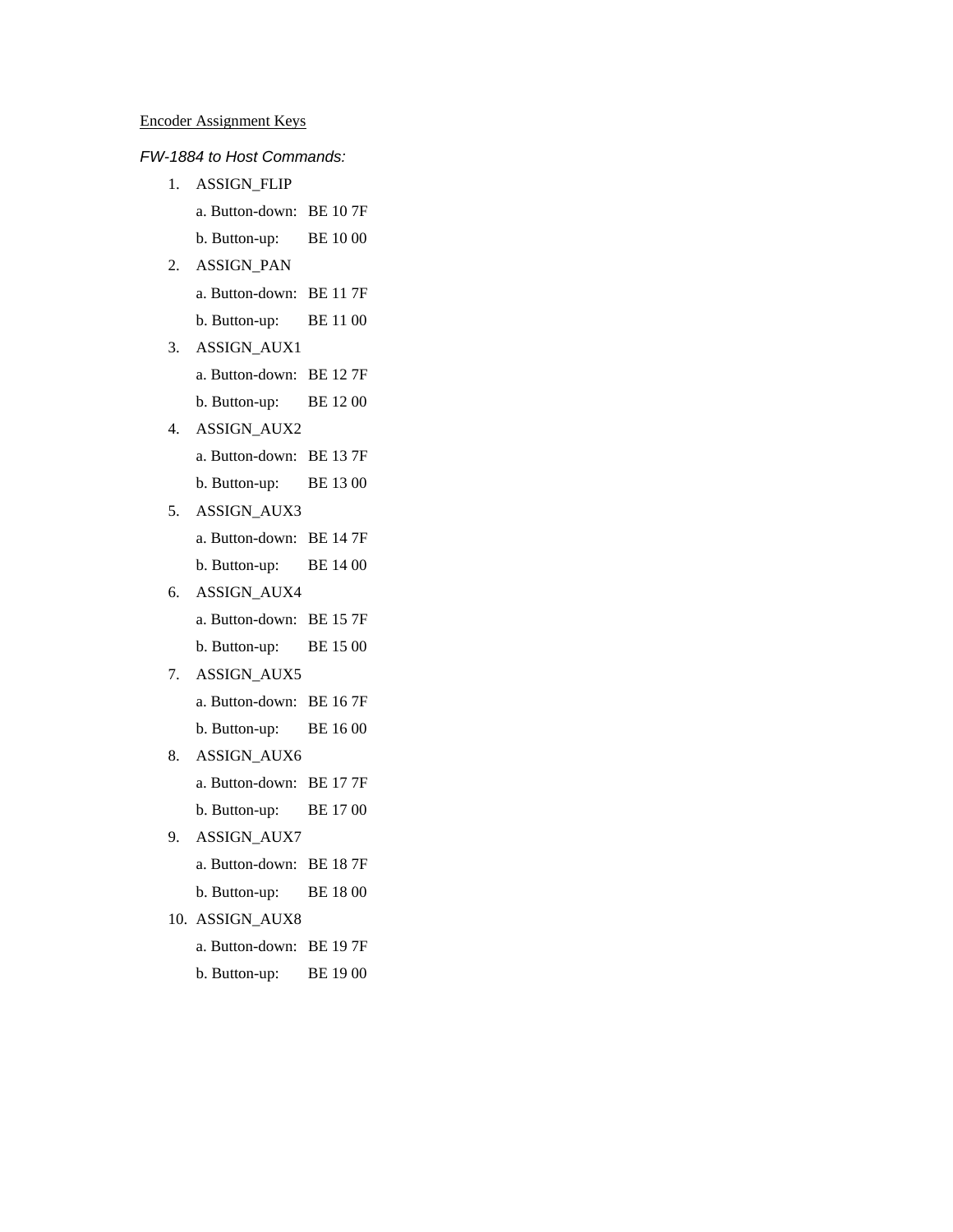### *FW-1884 to Host Commands:*

- 1. ASSIGN\_FLIP
	- a. Button-down: BE 10 7F
	- b. Button-up: BE 10 00
- 2. ASSIGN\_PAN
	- a. Button-down: BE 11 7F
	- b. Button-up: BE 11 00
- 3. ASSIGN\_AUX1
	- a. Button-down: BE 12 7F
	- b. Button-up: BE 12 00
- 4. ASSIGN\_AUX2
	- a. Button-down: BE 13 7F
	- b. Button-up: BE 13 00
- 5. ASSIGN\_AUX3
	- a. Button-down: BE 14 7F
	- b. Button-up: BE 14 00
- 6. ASSIGN\_AUX4
	- a. Button-down: BE 15 7F
	- b. Button-up: BE 15 00
- 7. ASSIGN\_AUX5
	- a. Button-down: BE 16 7F
	- b. Button-up: BE 16 00
- 8. ASSIGN\_AUX6
	- a. Button-down: BE 17 7F
	- b. Button-up: BE 17 00
- 9. ASSIGN\_AUX7
	- a. Button-down: BE 18 7F
	- b. Button-up: BE 18 00
- 10. ASSIGN\_AUX8
	- a. Button-down: BE 19 7F
	- b. Button-up: BE 19 00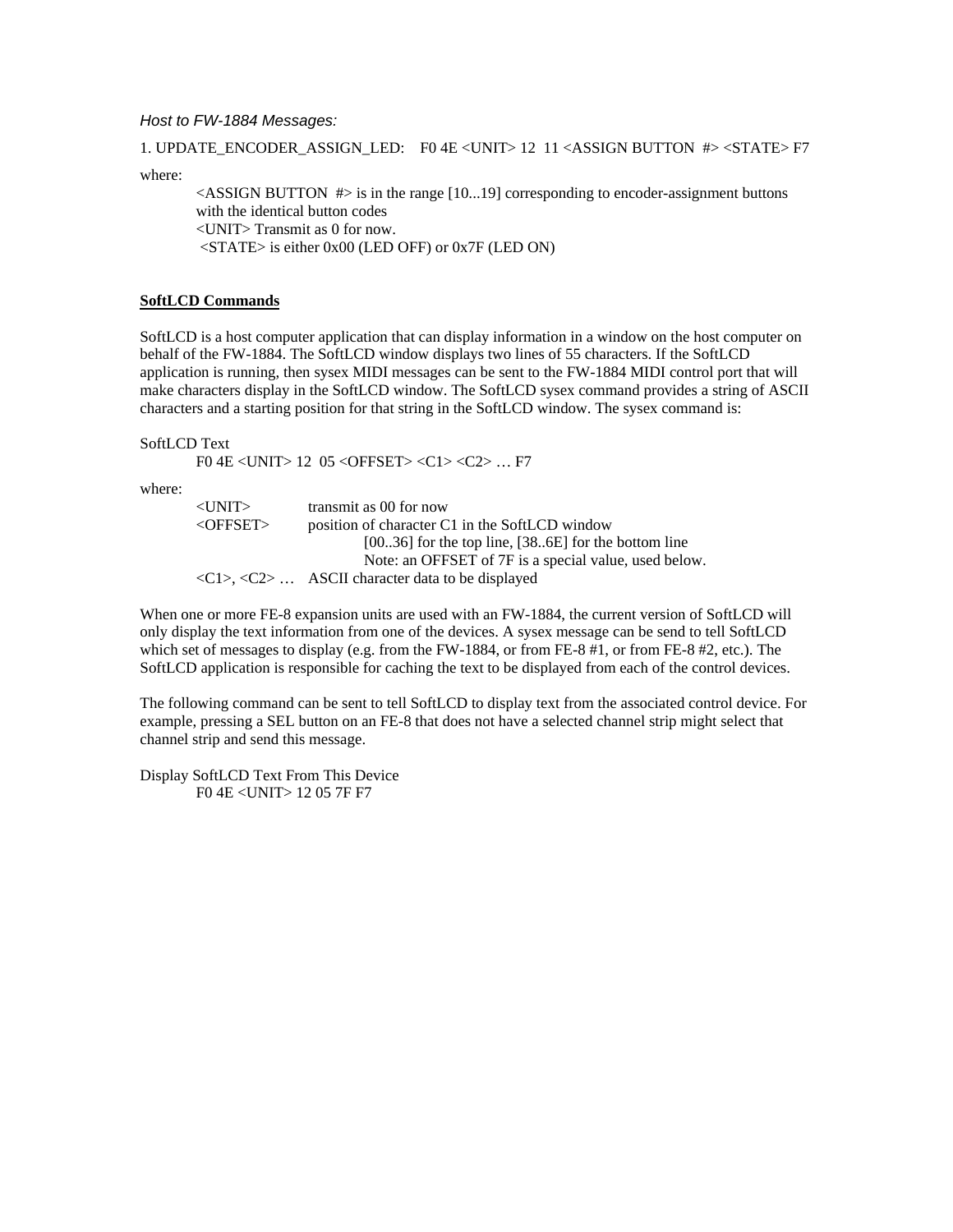### *Host to FW-1884 Messages:*

1. UPDATE\_ENCODER\_ASSIGN\_LED: F0 4E <UNIT> 12 11 <ASSIGN BUTTON #> <STATE> F7

where:

 $\leq$ ASSIGN BUTTON #> is in the range [10...19] corresponding to encoder-assignment buttons with the identical button codes <UNIT> Transmit as 0 for now.  $\langle$ STATE> is either 0x00 (LED OFF) or 0x7F (LED ON)

### **SoftLCD Commands**

SoftLCD is a host computer application that can display information in a window on the host computer on behalf of the FW-1884. The SoftLCD window displays two lines of 55 characters. If the SoftLCD application is running, then sysex MIDI messages can be sent to the FW-1884 MIDI control port that will make characters display in the SoftLCD window. The SoftLCD sysex command provides a string of ASCII characters and a starting position for that string in the SoftLCD window. The sysex command is:

SoftLCD Text

F0 4E <UNIT> 12 05 <OFFSET> <C1> <C2> … F7

where:

| $<$ UNIT $>$      | transmit as 00 for now                                                         |
|-------------------|--------------------------------------------------------------------------------|
| $\langle$ OFFSET> | position of character C1 in the SoftLCD window                                 |
|                   | $[0036]$ for the top line, $[386E]$ for the bottom line                        |
|                   | Note: an OFFSET of 7F is a special value, used below.                          |
|                   | $\langle C1\rangle$ , $\langle C2\rangle$ ASCII character data to be displayed |

When one or more FE-8 expansion units are used with an FW-1884, the current version of SoftLCD will only display the text information from one of the devices. A sysex message can be send to tell SoftLCD which set of messages to display (e.g. from the FW-1884, or from FE-8 #1, or from FE-8 #2, etc.). The SoftLCD application is responsible for caching the text to be displayed from each of the control devices.

The following command can be sent to tell SoftLCD to display text from the associated control device. For example, pressing a SEL button on an FE-8 that does not have a selected channel strip might select that channel strip and send this message.

Display SoftLCD Text From This Device F0 4E <UNIT> 12 05 7F F7